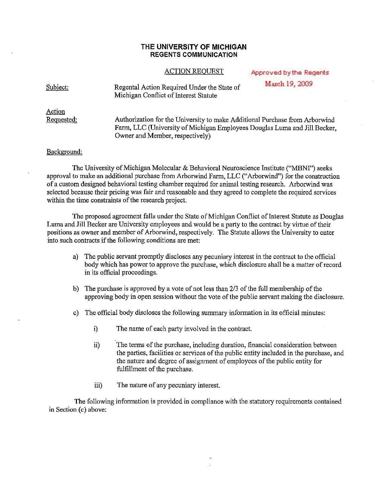## **THE UNIVERSITY OF MICHIGAN REGENTS COMMUNICATION**

## **ACTION REOUEST**

| <b>ACTION REQUEST</b>                                                                | Approved by the Regents |
|--------------------------------------------------------------------------------------|-------------------------|
| Regental Action Required Under the State of<br>Michigan Conflict of Interest Statute | March 19, 2009          |

Action Requested:

Subject:

Authorization for the University to make Additional Purchase from Arborwind Farm, LLC (University of Michigan Employees Douglas Luma and Jill Becker, Owner and Member, respectively)

## Background:

The University of Michigan Molecular & Behavioral Neuroscience Institute ("MBNI") seeks approval to make an additional purchase from Arborwind Farm, LLC ("Arborwind") for the construction of a custom designed behavioral testing chamber required for animal testing research. Arborwind was selected because their pricing was fair and reasonable and they agreed to complete the required services within the time constraints of the research project.

The proposed agreement falls under the State of Michigan Conflict of Interest Statute as Douglas Luma and Jill Becker are University employees and would be a party to the contract by virtue of their positions as owner and member of Arborwind, respectively. The Statute allows the University to enter into such contracts if the following conditions are met:

- a) The public servant promptly discloses any pecuniary interest in the contract to the official body which has power to approve the purchase, which disclosure shall be a matter of record in its official proceedings.
- b) The purchase is approved by a vote of not less than  $2/3$  of the full membership of the approving body in open session without the vote of the public servant making the disclosure.
- c) The official body discloses the following summary information in its official minutes:
	- i) The name of each party involved in the contract.
	- ii) The terms of the purchase, including duration, financial consideration between the parties, facilities or services of the public entity included in the purchase, and the nature and degree of assignment of employees of the public entity for fulfillment of the purchase.
	- iii) The nature of any pecuniary interest.

The following information is provided in compliance with the statutory requirements contained in Section (c) above:

Ğ.